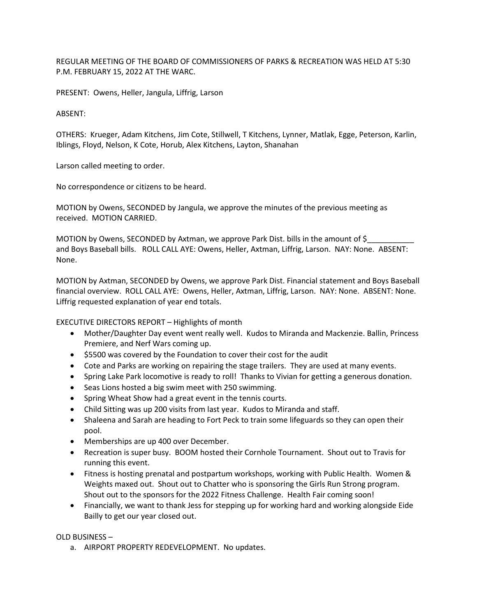REGULAR MEETING OF THE BOARD OF COMMISSIONERS OF PARKS & RECREATION WAS HELD AT 5:30 P.M. FEBRUARY 15, 2022 AT THE WARC.

PRESENT: Owens, Heller, Jangula, Liffrig, Larson

ABSENT:

OTHERS: Krueger, Adam Kitchens, Jim Cote, Stillwell, T Kitchens, Lynner, Matlak, Egge, Peterson, Karlin, Iblings, Floyd, Nelson, K Cote, Horub, Alex Kitchens, Layton, Shanahan

Larson called meeting to order.

No correspondence or citizens to be heard.

MOTION by Owens, SECONDED by Jangula, we approve the minutes of the previous meeting as received. MOTION CARRIED.

MOTION by Owens, SECONDED by Axtman, we approve Park Dist. bills in the amount of \$ and Boys Baseball bills. ROLL CALL AYE: Owens, Heller, Axtman, Liffrig, Larson. NAY: None. ABSENT: None.

MOTION by Axtman, SECONDED by Owens, we approve Park Dist. Financial statement and Boys Baseball financial overview. ROLL CALL AYE: Owens, Heller, Axtman, Liffrig, Larson. NAY: None. ABSENT: None. Liffrig requested explanation of year end totals.

EXECUTIVE DIRECTORS REPORT – Highlights of month

- Mother/Daughter Day event went really well. Kudos to Miranda and Mackenzie. Ballin, Princess Premiere, and Nerf Wars coming up.
- \$5500 was covered by the Foundation to cover their cost for the audit
- Cote and Parks are working on repairing the stage trailers. They are used at many events.
- Spring Lake Park locomotive is ready to roll! Thanks to Vivian for getting a generous donation.
- Seas Lions hosted a big swim meet with 250 swimming.
- Spring Wheat Show had a great event in the tennis courts.
- Child Sitting was up 200 visits from last year. Kudos to Miranda and staff.
- Shaleena and Sarah are heading to Fort Peck to train some lifeguards so they can open their pool.
- Memberships are up 400 over December.
- Recreation is super busy. BOOM hosted their Cornhole Tournament. Shout out to Travis for running this event.
- Fitness is hosting prenatal and postpartum workshops, working with Public Health. Women & Weights maxed out. Shout out to Chatter who is sponsoring the Girls Run Strong program. Shout out to the sponsors for the 2022 Fitness Challenge. Health Fair coming soon!
- Financially, we want to thank Jess for stepping up for working hard and working alongside Eide Bailly to get our year closed out.

OLD BUSINESS –

a. AIRPORT PROPERTY REDEVELOPMENT. No updates.